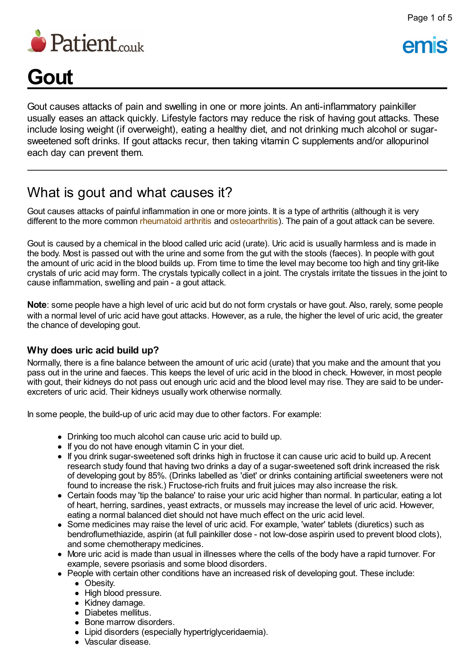

# **Gout**

Gout causes attacks of pain and swelling in one or more joints. An anti-inflammatory painkiller usually eases an attack quickly. Lifestyle factors may reduce the risk of having gout attacks. These include losing weight (if overweight), eating a healthy diet, and not drinking much alcohol or sugarsweetened soft drinks. If gout attacks recur, then taking vitamin C supplements and/or allopurinol each day can prevent them.

### What is gout and what causes it?

Gout causes attacks of painful inflammation in one or more joints. It is a type of arthritis (although it is very different to the more common [rheumatoid](http://www.patient.co.uk/health/rheumatoid-arthritis-leaflet) arthritis and [osteoarthritis\)](http://www.patient.co.uk/health/osteoarthritis-leaflet). The pain of a gout attack can be severe.

Gout is caused by a chemical in the blood called uric acid (urate). Uric acid is usually harmless and is made in the body. Most is passed out with the urine and some from the gut with the stools (faeces). In people with gout the amount of uric acid in the blood builds up. From time to time the level may become too high and tiny grit-like crystals of uric acid may form. The crystals typically collect in a joint. The crystals irritate the tissues in the joint to cause inflammation, swelling and pain - a gout attack.

**Note**: some people have a high level of uric acid but do not form crystals or have gout. Also, rarely, some people with a normal level of uric acid have gout attacks. However, as a rule, the higher the level of uric acid, the greater the chance of developing gout.

#### **Why does uric acid build up?**

Normally, there is a fine balance between the amount of uric acid (urate) that you make and the amount that you pass out in the urine and faeces. This keeps the level of uric acid in the blood in check. However, in most people with gout, their kidneys do not pass out enough uric acid and the blood level may rise. They are said to be underexcreters of uric acid. Their kidneys usually work otherwise normally.

In some people, the build-up of uric acid may due to other factors. For example:

- Drinking too much alcohol can cause uric acid to build up.
- If you do not have enough vitamin C in your diet.
- If you drink sugar-sweetened soft drinks high in fructose it can cause uric acid to build up. Arecent research study found that having two drinks a day of a sugar-sweetened soft drink increased the risk of developing gout by 85%. (Drinks labelled as 'diet' or drinks containing artificial sweeteners were not found to increase the risk.) Fructose-rich fruits and fruit juices may also increase the risk.
- Certain foods may 'tip the balance' to raise your uric acid higher than normal. In particular, eating a lot of heart, herring, sardines, yeast extracts, or mussels may increase the level of uric acid. However, eating a normal balanced diet should not have much effect on the uric acid level.
- Some medicines may raise the level of uric acid. For example, 'water' tablets (diuretics) such as bendroflumethiazide, aspirin (at full painkiller dose - not low-dose aspirin used to prevent blood clots), and some chemotherapy medicines.
- More uric acid is made than usual in illnesses where the cells of the body have a rapid turnover. For example, severe psoriasis and some blood disorders.
- People with certain other conditions have an increased risk of developing gout. These include:
	- Obesity.
	- High blood pressure.
	- Kidney damage.
	- Diabetes mellitus.
	- Bone marrow disorders.
	- Lipid disorders (especially hypertriglyceridaemia).
	- Vascular disease.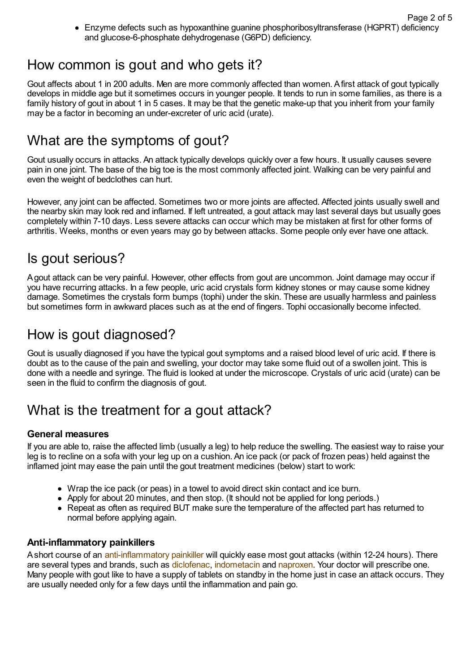Enzyme defects such as hypoxanthine guanine phosphoribosyltransferase (HGPRT) deficiency and glucose-6-phosphate dehydrogenase (G6PD) deficiency.

### How common is gout and who gets it?

Gout affects about 1 in 200 adults. Men are more commonly affected than women. Afirst attack of gout typically develops in middle age but it sometimes occurs in younger people. It tends to run in some families, as there is a family history of gout in about 1 in 5 cases. It may be that the genetic make-up that you inherit from your family may be a factor in becoming an under-excreter of uric acid (urate).

### What are the symptoms of gout?

Gout usually occurs in attacks. An attack typically develops quickly over a few hours. It usually causes severe pain in one joint. The base of the big toe is the most commonly affected joint. Walking can be very painful and even the weight of bedclothes can hurt.

However, any joint can be affected. Sometimes two or more joints are affected. Affected joints usually swell and the nearby skin may look red and inflamed. If left untreated, a gout attack may last several days but usually goes completely within 7-10 days. Less severe attacks can occur which may be mistaken at first for other forms of arthritis. Weeks, months or even years may go by between attacks. Some people only ever have one attack.

### Is gout serious?

Agout attack can be very painful. However, other effects from gout are uncommon. Joint damage may occur if you have recurring attacks. In a few people, uric acid crystals form kidney stones or may cause some kidney damage. Sometimes the crystals form bumps (tophi) under the skin. These are usually harmless and painless but sometimes form in awkward places such as at the end of fingers. Tophi occasionally become infected.

### How is gout diagnosed?

Gout is usually diagnosed if you have the typical gout symptoms and a raised blood level of uric acid. If there is doubt as to the cause of the pain and swelling, your doctor may take some fluid out of a swollen joint. This is done with a needle and syringe. The fluid is looked at under the microscope. Crystals of uric acid (urate) can be seen in the fluid to confirm the diagnosis of gout.

## What is the treatment for a gout attack?

### **General measures**

If you are able to, raise the affected limb (usually a leg) to help reduce the swelling. The easiest way to raise your leg is to recline on a sofa with your leg up on a cushion. An ice pack (or pack of frozen peas) held against the inflamed joint may ease the pain until the gout treatment medicines (below) start to work:

- Wrap the ice pack (or peas) in a towel to avoid direct skin contact and ice burn.
- Apply for about 20 minutes, and then stop. (It should not be applied for long periods.)
- Repeat as often as required BUT make sure the temperature of the affected part has returned to normal before applying again.

### **Anti-inflammatory painkillers**

Ashort course of an [anti-inflammatory](http://www.patient.co.uk/health/anti-inflammatory-painkillers) painkiller will quickly ease most gout attacks (within 12-24 hours). There are several types and brands, such as [diclofenac](http://www.patient.co.uk/medicine/diclofenac-for-pain-and-inflammation), [indometacin](http://www.patient.co.uk/medicine/Indometacin.htm) and [naproxen.](http://www.patient.co.uk/medicine/naproxen) Your doctor will prescribe one. Many people with gout like to have a supply of tablets on standby in the home just in case an attack occurs. They are usually needed only for a few days until the inflammation and pain go.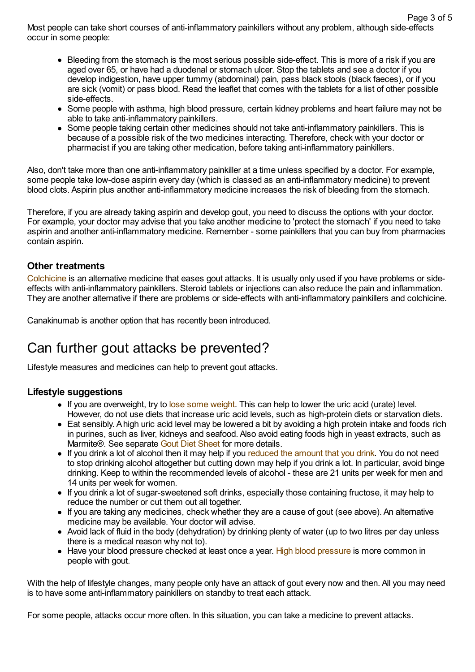Most people can take short courses of anti-inflammatory painkillers without any problem, although side-effects occur in some people:

- Bleeding from the stomach is the most serious possible side-effect. This is more of a risk if you are aged over 65, or have had a duodenal or stomach ulcer. Stop the tablets and see a doctor if you develop indigestion, have upper tummy (abdominal) pain, pass black stools (black faeces), or if you are sick (vomit) or pass blood. Read the leaflet that comes with the tablets for a list of other possible side-effects.
- Some people with asthma, high blood pressure, certain kidney problems and heart failure may not be able to take anti-inflammatory painkillers.
- Some people taking certain other medicines should not take anti-inflammatory painkillers. This is because of a possible risk of the two medicines interacting. Therefore, check with your doctor or pharmacist if you are taking other medication, before taking anti-inflammatory painkillers.

Also, don't take more than one anti-inflammatory painkiller at a time unless specified by a doctor. For example, some people take low-dose aspirin every day (which is classed as an anti-inflammatory medicine) to prevent blood clots. Aspirin plus another anti-inflammatory medicine increases the risk of bleeding from the stomach.

Therefore, if you are already taking aspirin and develop gout, you need to discuss the options with your doctor. For example, your doctor may advise that you take another medicine to 'protect the stomach' if you need to take aspirin and another anti-inflammatory medicine. Remember - some painkillers that you can buy from pharmacies contain aspirin.

#### **Other treatments**

[Colchicine](http://www.patient.co.uk/medicine/Colchicine.htm) is an alternative medicine that eases gout attacks. It is usually only used if you have problems or sideeffects with anti-inflammatory painkillers. Steroid tablets or injections can also reduce the pain and inflammation. They are another alternative if there are problems or side-effects with anti-inflammatory painkillers and colchicine.

Canakinumab is another option that has recently been introduced.

### Can further gout attacks be prevented?

Lifestyle measures and medicines can help to prevent gout attacks.

#### **Lifestyle suggestions**

- If you are overweight, try to lose some [weight.](http://www.patient.co.uk/health/weight-reduction-how-to-lose-weight) This can help to lower the uric acid (urate) level. However, do not use diets that increase uric acid levels, such as high-protein diets or starvation diets.
- Eat sensibly. Ahigh uric acid level may be lowered a bit by avoiding a high protein intake and foods rich in purines, such as liver, kidneys and seafood. Also avoid eating foods high in yeast extracts, such as Marmite®. See separate Gout Diet [Sheet](http://www.patient.co.uk/health/gout-diet-sheet) for more details.
- If you drink a lot of alcohol then it may help if you [reduced](http://www.patient.co.uk/health/Alcohol-and-Sensible-Drinking.htm) the amount that you drink. You do not need to stop drinking alcohol altogether but cutting down may help if you drink a lot. In particular, avoid binge drinking. Keep to within the recommended levels of alcohol - these are 21 units per week for men and 14 units per week for women.
- If you drink a lot of sugar-sweetened soft drinks, especially those containing fructose, it may help to reduce the number or cut them out all together.
- If you are taking any medicines, check whether they are a cause of gout (see above). An alternative medicine may be available. Your doctor will advise.
- Avoid lack of fluid in the body (dehydration) by drinking plenty of water (up to two litres per day unless there is a medical reason why not to).
- Have your blood [pressure](http://www.patient.co.uk/health/high-blood-pressure-hypertension) checked at least once a year. High blood pressure is more common in people with gout.

With the help of lifestyle changes, many people only have an attack of gout every now and then. All you may need is to have some anti-inflammatory painkillers on standby to treat each attack.

For some people, attacks occur more often. In this situation, you can take a medicine to prevent attacks.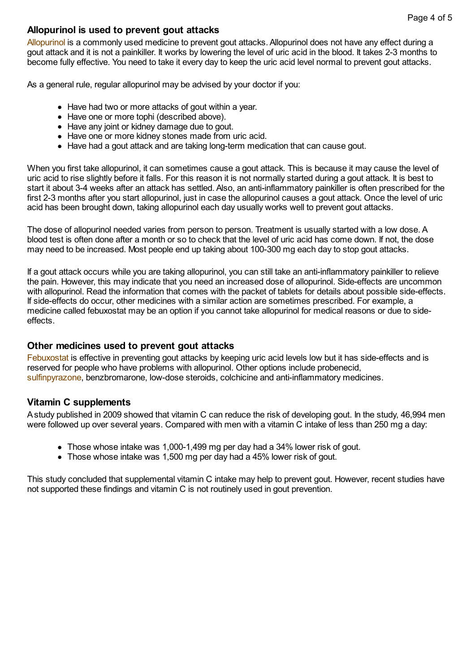#### **Allopurinol is used to prevent gout attacks**

[Allopurinol](http://www.patient.co.uk/medicine/Allopurinol.htm) is a commonly used medicine to prevent gout attacks. Allopurinol does not have any effect during a gout attack and it is not a painkiller. It works by lowering the level of uric acid in the blood. It takes 2-3 months to become fully effective. You need to take it every day to keep the uric acid level normal to prevent gout attacks.

As a general rule, regular allopurinol may be advised by your doctor if you:

- Have had two or more attacks of gout within a year.
- Have one or more tophi (described above).
- Have any joint or kidney damage due to gout.
- Have one or more kidney stones made from uric acid.
- Have had a gout attack and are taking long-term medication that can cause gout.

When you first take allopurinol, it can sometimes cause a gout attack. This is because it may cause the level of uric acid to rise slightly before it falls. For this reason it is not normally started during a gout attack. It is best to start it about 3-4 weeks after an attack has settled. Also, an anti-inflammatory painkiller is often prescribed for the first 2-3 months after you start allopurinol, just in case the allopurinol causes a gout attack. Once the level of uric acid has been brought down, taking allopurinol each day usually works well to prevent gout attacks.

The dose of allopurinol needed varies from person to person. Treatment is usually started with a low dose. A blood test is often done after a month or so to check that the level of uric acid has come down. If not, the dose may need to be increased. Most people end up taking about 100-300 mg each day to stop gout attacks.

If a gout attack occurs while you are taking allopurinol, you can still take an anti-inflammatory painkiller to relieve the pain. However, this may indicate that you need an increased dose of allopurinol. Side-effects are uncommon with allopurinol. Read the information that comes with the packet of tablets for details about possible side-effects. If side-effects do occur, other medicines with a similar action are sometimes prescribed. For example, a medicine called febuxostat may be an option if you cannot take allopurinol for medical reasons or due to sideeffects.

#### **Other medicines used to prevent gout attacks**

[Febuxostat](http://www.patient.co.uk/medicine/Febuxostat.htm) is effective in preventing gout attacks by keeping uric acid levels low but it has side-effects and is reserved for people who have problems with allopurinol. Other options include probenecid, [sulfinpyrazone,](http://www.patient.co.uk/medicine/sulfinpyrazone-to-prevent-gout) benzbromarone, low-dose steroids, colchicine and anti-inflammatory medicines.

#### **Vitamin C supplements**

Astudy published in 2009 showed that vitamin C can reduce the risk of developing gout. In the study, 46,994 men were followed up over several years. Compared with men with a vitamin C intake of less than 250 mg a day:

- Those whose intake was 1,000-1,499 mg per day had a 34% lower risk of gout.
- Those whose intake was 1,500 mg per day had a 45% lower risk of gout.

This study concluded that supplemental vitamin C intake may help to prevent gout. However, recent studies have not supported these findings and vitamin C is not routinely used in gout prevention.